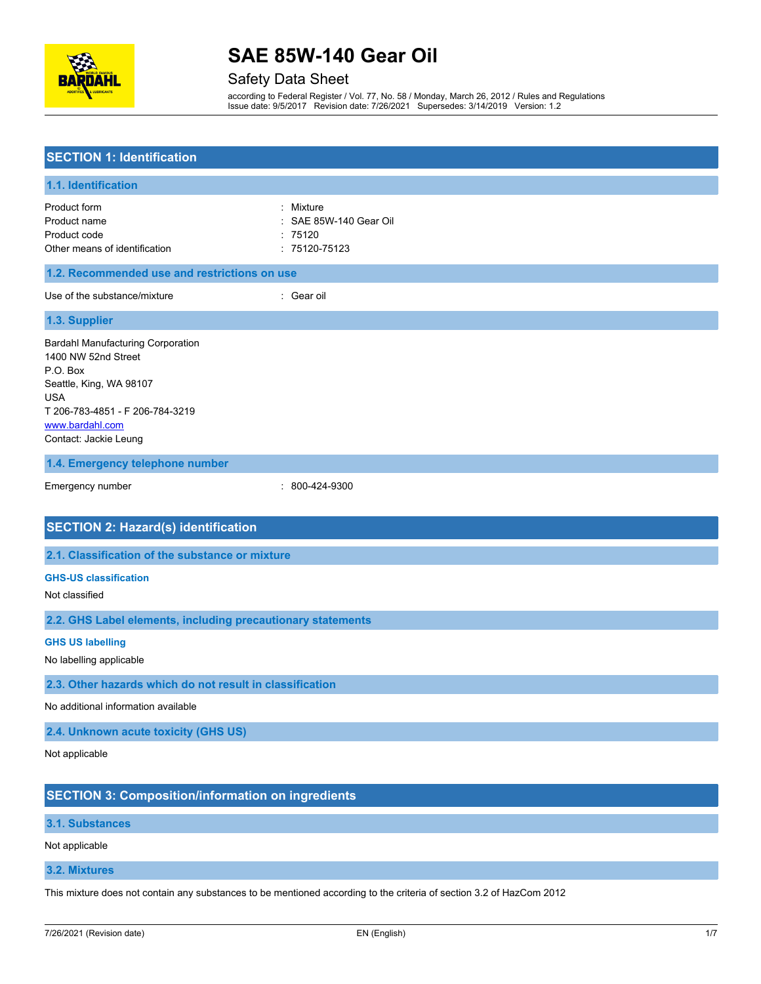

Safety Data Sheet

according to Federal Register / Vol. 77, No. 58 / Monday, March 26, 2012 / Rules and Regulations Issue date: 9/5/2017 Revision date: 7/26/2021 Supersedes: 3/14/2019 Version: 1.2

| <b>SECTION 1: Identification</b>                                                                                                                                                                    |                                                           |  |  |
|-----------------------------------------------------------------------------------------------------------------------------------------------------------------------------------------------------|-----------------------------------------------------------|--|--|
| 1.1. Identification                                                                                                                                                                                 |                                                           |  |  |
| Product form<br>Product name<br>Product code<br>Other means of identification                                                                                                                       | Mixture<br>SAE 85W-140 Gear Oil<br>75120<br>: 75120-75123 |  |  |
| 1.2. Recommended use and restrictions on use                                                                                                                                                        |                                                           |  |  |
| Use of the substance/mixture                                                                                                                                                                        | : Gear oil                                                |  |  |
| 1.3. Supplier                                                                                                                                                                                       |                                                           |  |  |
| <b>Bardahl Manufacturing Corporation</b><br>1400 NW 52nd Street<br>P.O. Box<br>Seattle, King, WA 98107<br><b>USA</b><br>T 206-783-4851 - F 206-784-3219<br>www.bardahl.com<br>Contact: Jackie Leung |                                                           |  |  |
| 1.4. Emergency telephone number                                                                                                                                                                     |                                                           |  |  |
| Emergency number                                                                                                                                                                                    | : 800-424-9300                                            |  |  |
| <b>SECTION 2: Hazard(s) identification</b>                                                                                                                                                          |                                                           |  |  |
| 2.1. Classification of the substance or mixture                                                                                                                                                     |                                                           |  |  |
| <b>GHS-US classification</b><br>Not classified                                                                                                                                                      |                                                           |  |  |
| 2.2. GHS Label elements, including precautionary statements                                                                                                                                         |                                                           |  |  |
| <b>GHS US labelling</b><br>No labelling applicable                                                                                                                                                  |                                                           |  |  |
| 2.3. Other hazards which do not result in classification                                                                                                                                            |                                                           |  |  |
| No additional information available                                                                                                                                                                 |                                                           |  |  |
| 2.4. Unknown acute toxicity (GHS US)                                                                                                                                                                |                                                           |  |  |
| Not applicable                                                                                                                                                                                      |                                                           |  |  |
| <b>SECTION 3: Composition/information on ingredients</b>                                                                                                                                            |                                                           |  |  |
| 3.1. Substances                                                                                                                                                                                     |                                                           |  |  |
| Not applicable                                                                                                                                                                                      |                                                           |  |  |

**3.2. Mixtures**

This mixture does not contain any substances to be mentioned according to the criteria of section 3.2 of HazCom 2012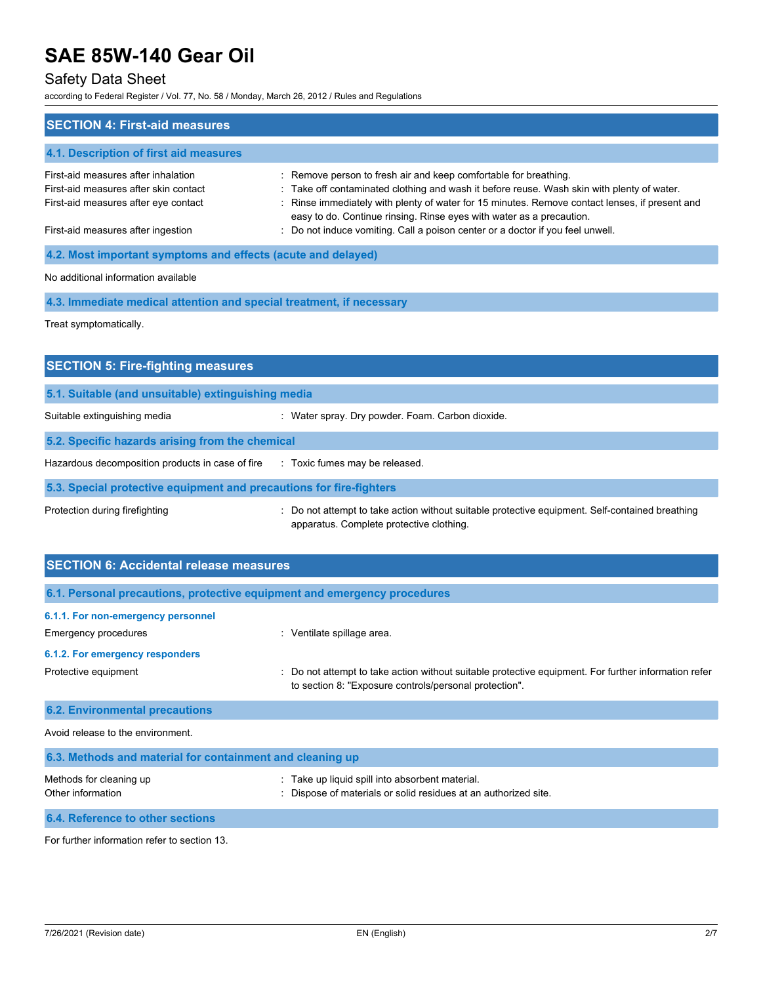### Safety Data Sheet

according to Federal Register / Vol. 77, No. 58 / Monday, March 26, 2012 / Rules and Regulations

| <b>SECTION 4: First-aid measures</b>                                                                                 |                                                                                                                                                                                                                                                                                                                                          |  |  |  |
|----------------------------------------------------------------------------------------------------------------------|------------------------------------------------------------------------------------------------------------------------------------------------------------------------------------------------------------------------------------------------------------------------------------------------------------------------------------------|--|--|--|
| 4.1. Description of first aid measures                                                                               |                                                                                                                                                                                                                                                                                                                                          |  |  |  |
| First-aid measures after inhalation<br>First-aid measures after skin contact<br>First-aid measures after eye contact | : Remove person to fresh air and keep comfortable for breathing.<br>: Take off contaminated clothing and wash it before reuse. Wash skin with plenty of water.<br>: Rinse immediately with plenty of water for 15 minutes. Remove contact lenses, if present and<br>easy to do. Continue rinsing. Rinse eyes with water as a precaution. |  |  |  |
| First-aid measures after ingestion                                                                                   | : Do not induce vomiting. Call a poison center or a doctor if you feel unwell.                                                                                                                                                                                                                                                           |  |  |  |
| 4.2. Most important symptoms and effects (acute and delayed)                                                         |                                                                                                                                                                                                                                                                                                                                          |  |  |  |
| No additional information available                                                                                  |                                                                                                                                                                                                                                                                                                                                          |  |  |  |
| 4.3. Immediate medical attention and special treatment, if necessary                                                 |                                                                                                                                                                                                                                                                                                                                          |  |  |  |

Treat symptomatically.

| <b>SECTION 5: Fire-fighting measures</b>                            |                                                                                                                                             |  |  |  |
|---------------------------------------------------------------------|---------------------------------------------------------------------------------------------------------------------------------------------|--|--|--|
| 5.1. Suitable (and unsuitable) extinguishing media                  |                                                                                                                                             |  |  |  |
| Suitable extinguishing media                                        | : Water spray. Dry powder. Foam. Carbon dioxide.                                                                                            |  |  |  |
| 5.2. Specific hazards arising from the chemical                     |                                                                                                                                             |  |  |  |
| Hazardous decomposition products in case of fire                    | : Toxic fumes may be released.                                                                                                              |  |  |  |
| 5.3. Special protective equipment and precautions for fire-fighters |                                                                                                                                             |  |  |  |
| Protection during firefighting                                      | : Do not attempt to take action without suitable protective equipment. Self-contained breathing<br>apparatus. Complete protective clothing. |  |  |  |

| <b>SECTION 6: Accidental release measures</b>                            |                                                                                                                                                              |  |  |  |
|--------------------------------------------------------------------------|--------------------------------------------------------------------------------------------------------------------------------------------------------------|--|--|--|
| 6.1. Personal precautions, protective equipment and emergency procedures |                                                                                                                                                              |  |  |  |
| 6.1.1. For non-emergency personnel                                       |                                                                                                                                                              |  |  |  |
| Emergency procedures                                                     | : Ventilate spillage area.                                                                                                                                   |  |  |  |
| 6.1.2. For emergency responders                                          |                                                                                                                                                              |  |  |  |
| Protective equipment                                                     | Do not attempt to take action without suitable protective equipment. For further information refer<br>to section 8: "Exposure controls/personal protection". |  |  |  |
| <b>6.2. Environmental precautions</b>                                    |                                                                                                                                                              |  |  |  |
| Avoid release to the environment.                                        |                                                                                                                                                              |  |  |  |
| 6.3. Methods and material for containment and cleaning up                |                                                                                                                                                              |  |  |  |
| Methods for cleaning up<br>Other information                             | Take up liquid spill into absorbent material.<br>Dispose of materials or solid residues at an authorized site.                                               |  |  |  |
| 6.4. Reference to other sections                                         |                                                                                                                                                              |  |  |  |

For further information refer to section 13.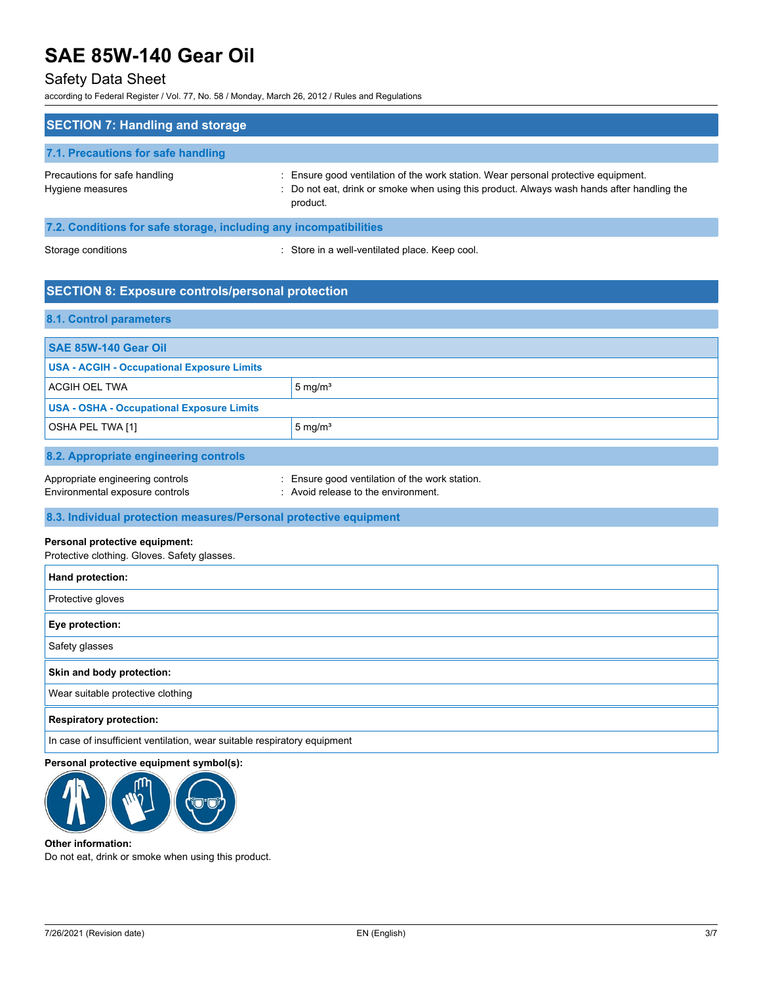### Safety Data Sheet

according to Federal Register / Vol. 77, No. 58 / Monday, March 26, 2012 / Rules and Regulations

| <b>SECTION 7: Handling and storage</b>                            |                                                                                                                                                                                            |  |
|-------------------------------------------------------------------|--------------------------------------------------------------------------------------------------------------------------------------------------------------------------------------------|--|
| 7.1. Precautions for safe handling                                |                                                                                                                                                                                            |  |
| Precautions for safe handling<br>Hygiene measures                 | Ensure good ventilation of the work station. Wear personal protective equipment.<br>: Do not eat, drink or smoke when using this product. Always wash hands after handling the<br>product. |  |
| 7.2. Conditions for safe storage, including any incompatibilities |                                                                                                                                                                                            |  |

Storage conditions **Storage conditions** : Store in a well-ventilated place. Keep cool.

### **SECTION 8: Exposure controls/personal protection**

#### **8.1. Control parameters**

| <b>SAE 85W-140 Gear Oil</b>                       |                                              |  |
|---------------------------------------------------|----------------------------------------------|--|
| <b>USA - ACGIH - Occupational Exposure Limits</b> |                                              |  |
| ACGIH OEL TWA                                     | 5 mg/ $m3$                                   |  |
| <b>USA - OSHA - Occupational Exposure Limits</b>  |                                              |  |
| OSHA PEL TWA [1]                                  | $5 \text{ mg/m}^3$                           |  |
|                                                   |                                              |  |
| 8.2. Appropriate engineering controls             |                                              |  |
| Appropriate engineering controls                  | Ensure good ventilation of the work station. |  |

**8.3. Individual protection measures/Personal protective equipment**

Environmental exposure controls **Environment**. Avoid release to the environment.

#### **Personal protective equipment:**

Protective clothing. Gloves. Safety glasses.

| Hand protection:                                                         |
|--------------------------------------------------------------------------|
| Protective gloves                                                        |
| Eye protection:                                                          |
| Safety glasses                                                           |
| Skin and body protection:                                                |
| Wear suitable protective clothing                                        |
| <b>Respiratory protection:</b>                                           |
| In case of insufficient ventilation, wear suitable respiratory equipment |

#### **Personal protective equipment symbol(s):**



#### **Other information:**

Do not eat, drink or smoke when using this product.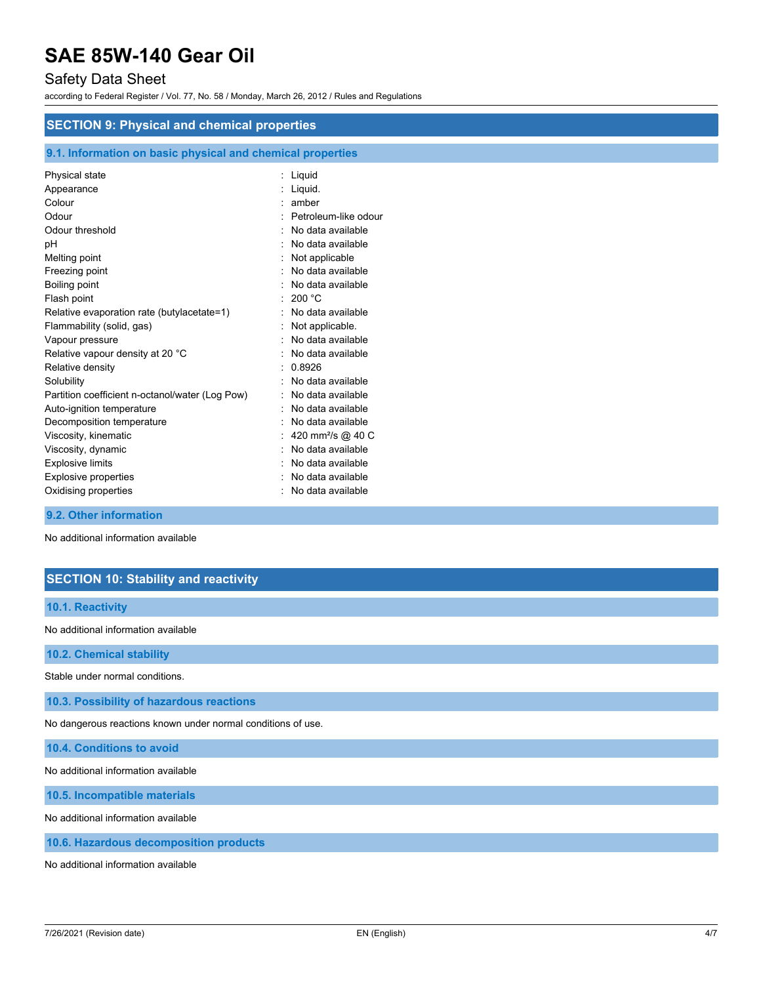### Safety Data Sheet

according to Federal Register / Vol. 77, No. 58 / Monday, March 26, 2012 / Rules and Regulations

#### **SECTION 9: Physical and chemical properties**

#### **9.1. Information on basic physical and chemical properties**

| Physical state                                  | Liquid                        |
|-------------------------------------------------|-------------------------------|
| Appearance                                      | Liquid.                       |
| Colour                                          | amber                         |
| Odour                                           | Petroleum-like odour          |
| Odour threshold                                 | No data available             |
| рH                                              | No data available             |
| Melting point                                   | Not applicable                |
| Freezing point                                  | No data available             |
| Boiling point                                   | No data available             |
| Flash point                                     | 200 °C                        |
| Relative evaporation rate (butylacetate=1)      | No data available             |
| Flammability (solid, gas)                       | Not applicable.               |
| Vapour pressure                                 | No data available             |
| Relative vapour density at 20 °C                | No data available             |
| Relative density                                | 0.8926                        |
| Solubility                                      | No data available             |
| Partition coefficient n-octanol/water (Log Pow) | No data available             |
| Auto-ignition temperature                       | No data available             |
| Decomposition temperature                       | No data available             |
| Viscosity, kinematic                            | 420 mm <sup>2</sup> /s @ 40 C |
| Viscosity, dynamic                              | No data available             |
| <b>Explosive limits</b>                         | No data available             |
| Explosive properties                            | No data available             |
| Oxidising properties                            | No data available             |
|                                                 |                               |

#### **9.2. Other information**

No additional information available

### **SECTION 10: Stability and reactivity**

#### **10.1. Reactivity**

No additional information available

**10.2. Chemical stability**

Stable under normal conditions.

**10.3. Possibility of hazardous reactions**

No dangerous reactions known under normal conditions of use.

**10.4. Conditions to avoid**

No additional information available

**10.5. Incompatible materials**

No additional information available

**10.6. Hazardous decomposition products**

No additional information available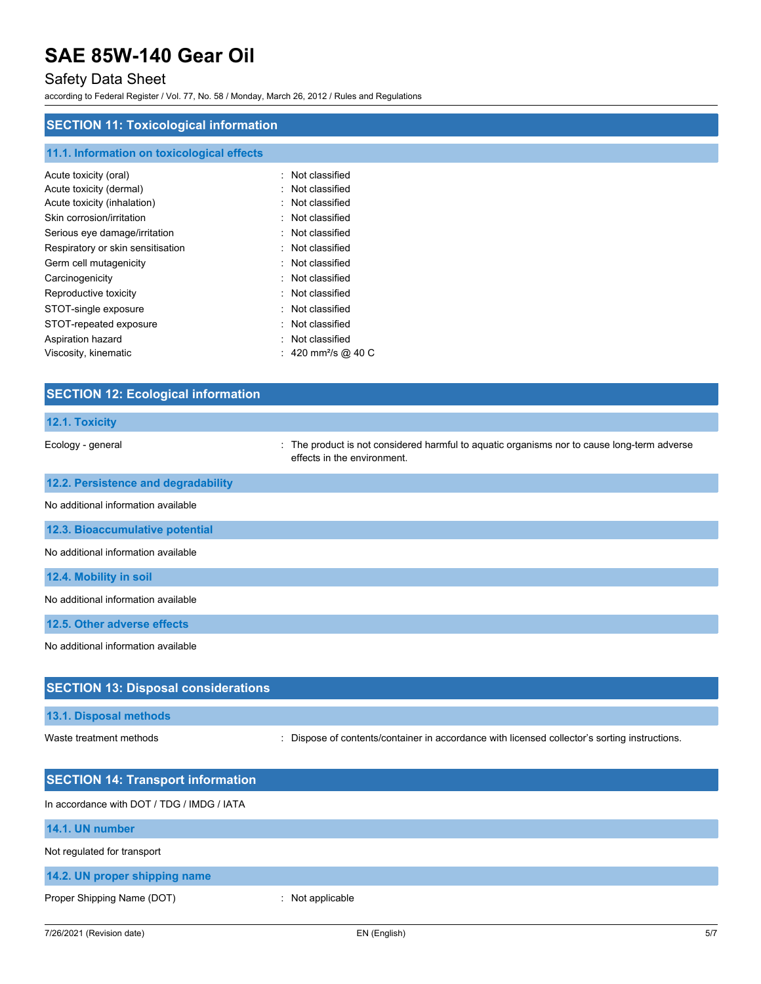### Safety Data Sheet

according to Federal Register / Vol. 77, No. 58 / Monday, March 26, 2012 / Rules and Regulations

### **SECTION 11: Toxicological information**

| 11.1. Information on toxicological effects |                             |
|--------------------------------------------|-----------------------------|
| Acute toxicity (oral)                      | Not classified              |
| Acute toxicity (dermal)                    | Not classified              |
| Acute toxicity (inhalation)                | $:$ Not classified          |
| Skin corrosion/irritation                  | Not classified              |
| Serious eye damage/irritation              | $\therefore$ Not classified |
| Respiratory or skin sensitisation          | $\therefore$ Not classified |
| Germ cell mutagenicity                     | Not classified              |
| Carcinogenicity                            | Not classified              |
| Reproductive toxicity                      | Not classified              |
| STOT-single exposure                       | Not classified              |
| STOT-repeated exposure                     | Not classified              |
| Aspiration hazard                          | Not classified              |
| Viscosity, kinematic                       | : 420 mm²/s @ 40 C          |

| <b>SECTION 12: Ecological information</b>  |                                                                                                                          |
|--------------------------------------------|--------------------------------------------------------------------------------------------------------------------------|
| 12.1. Toxicity                             |                                                                                                                          |
| Ecology - general                          | The product is not considered harmful to aquatic organisms nor to cause long-term adverse<br>effects in the environment. |
| 12.2. Persistence and degradability        |                                                                                                                          |
| No additional information available        |                                                                                                                          |
| 12.3. Bioaccumulative potential            |                                                                                                                          |
| No additional information available        |                                                                                                                          |
| 12.4. Mobility in soil                     |                                                                                                                          |
| No additional information available        |                                                                                                                          |
| 12.5. Other adverse effects                |                                                                                                                          |
| No additional information available        |                                                                                                                          |
| <b>SECTION 13: Disposal considerations</b> |                                                                                                                          |
| 13.1. Disposal methods                     |                                                                                                                          |
| Waste treatment methods                    | Dispose of contents/container in accordance with licensed collector's sorting instructions.                              |

| <b>SECTION 14: Transport information</b>   |                |
|--------------------------------------------|----------------|
| In accordance with DOT / TDG / IMDG / IATA |                |
| 14.1. UN number                            |                |
| Not regulated for transport                |                |
| 14.2. UN proper shipping name              |                |
| Proper Shipping Name (DOT)                 | Not applicable |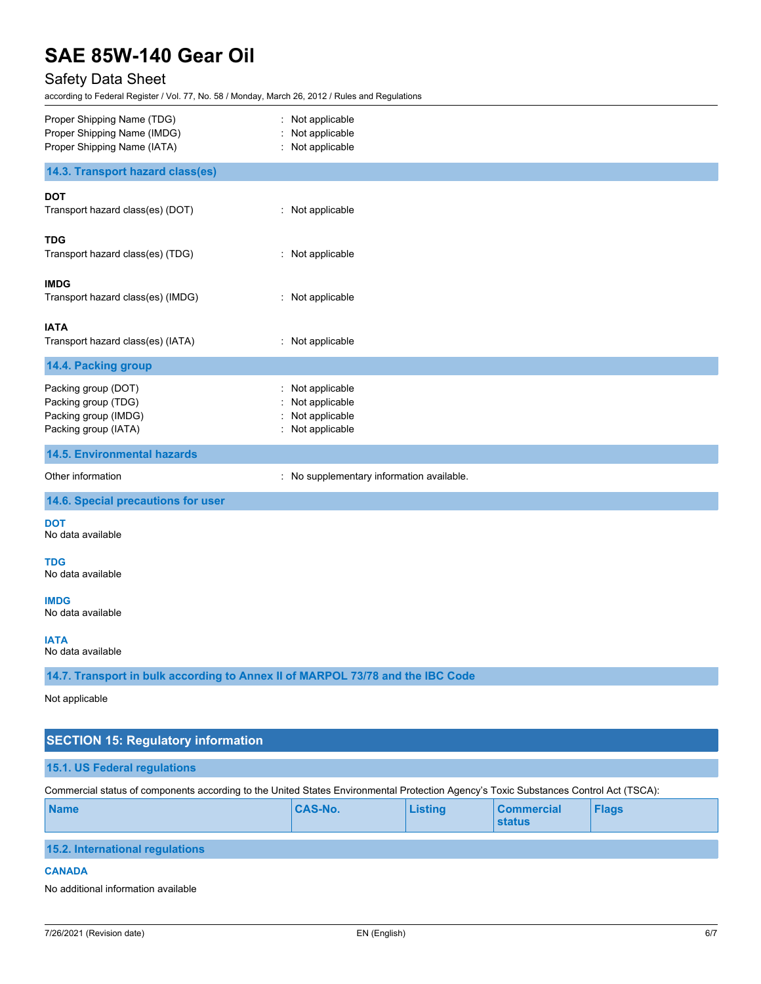## Safety Data Sheet

according to Federal Register / Vol. 77, No. 58 / Monday, March 26, 2012 / Rules and Regulations

| Proper Shipping Name (TDG)<br>Proper Shipping Name (IMDG)<br>Proper Shipping Name (IATA)                                              | Not applicable<br>Not applicable<br>Not applicable                   |                |                                    |              |  |
|---------------------------------------------------------------------------------------------------------------------------------------|----------------------------------------------------------------------|----------------|------------------------------------|--------------|--|
| 14.3. Transport hazard class(es)                                                                                                      |                                                                      |                |                                    |              |  |
| <b>DOT</b><br>Transport hazard class(es) (DOT)                                                                                        | : Not applicable                                                     |                |                                    |              |  |
| <b>TDG</b><br>Transport hazard class(es) (TDG)<br>÷.                                                                                  | Not applicable                                                       |                |                                    |              |  |
| <b>IMDG</b><br>Transport hazard class(es) (IMDG)                                                                                      | Not applicable                                                       |                |                                    |              |  |
| <b>IATA</b><br>Transport hazard class(es) (IATA)                                                                                      | : Not applicable                                                     |                |                                    |              |  |
| 14.4. Packing group                                                                                                                   |                                                                      |                |                                    |              |  |
| Packing group (DOT)<br>Packing group (TDG)<br>Packing group (IMDG)<br>Packing group (IATA)                                            | Not applicable<br>Not applicable<br>Not applicable<br>Not applicable |                |                                    |              |  |
| <b>14.5. Environmental hazards</b>                                                                                                    |                                                                      |                |                                    |              |  |
| Other information<br>İ.                                                                                                               | No supplementary information available.                              |                |                                    |              |  |
| 14.6. Special precautions for user                                                                                                    |                                                                      |                |                                    |              |  |
| <b>DOT</b><br>No data available                                                                                                       |                                                                      |                |                                    |              |  |
| TDG<br>No data available                                                                                                              |                                                                      |                |                                    |              |  |
| <b>IMDG</b><br>No data available                                                                                                      |                                                                      |                |                                    |              |  |
| <b>IATA</b><br>No data available                                                                                                      |                                                                      |                |                                    |              |  |
| 14.7. Transport in bulk according to Annex II of MARPOL 73/78 and the IBC Code                                                        |                                                                      |                |                                    |              |  |
| Not applicable                                                                                                                        |                                                                      |                |                                    |              |  |
| <b>SECTION 15: Regulatory information</b>                                                                                             |                                                                      |                |                                    |              |  |
| 15.1. US Federal regulations                                                                                                          |                                                                      |                |                                    |              |  |
| Commercial status of components according to the United States Environmental Protection Agency's Toxic Substances Control Act (TSCA): |                                                                      |                |                                    |              |  |
| <b>Name</b>                                                                                                                           | <b>CAS-No.</b>                                                       | <b>Listing</b> | <b>Commercial</b><br><b>status</b> | <b>Flags</b> |  |
| 15.2. International regulations                                                                                                       |                                                                      |                |                                    |              |  |
| <b>CANADA</b>                                                                                                                         |                                                                      |                |                                    |              |  |

#### No additional information available